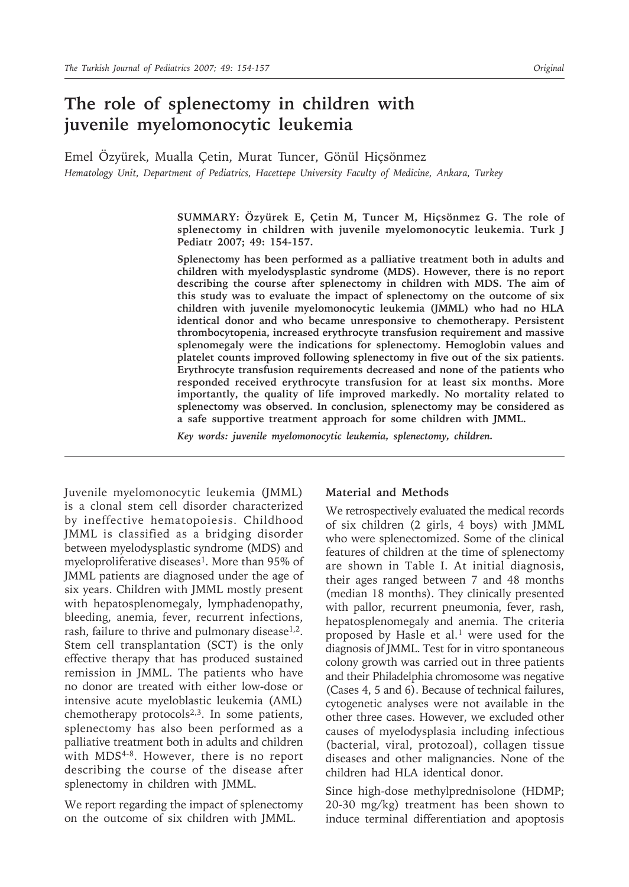# **The role of splenectomy in children with juvenile myelomonocytic leukemia**

Emel Özyürek, Mualla Çetin, Murat Tuncer, Gönül Hiçsönmez *Hematology Unit, Department of Pediatrics, Hacettepe University Faculty of Medicine, Ankara, Turkey*

> **SUMMARY: Özyürek E, Çetin M, Tuncer M, Hiçsönmez G. The role of splenectomy in children with juvenile myelomonocytic leukemia. Turk J Pediatr 2007; 49: 154-157.**

> **Splenectomy has been performed as a palliative treatment both in adults and children with myelodysplastic syndrome (MDS). However, there is no report describing the course after splenectomy in children with MDS. The aim of this study was to evaluate the impact of splenectomy on the outcome of six children with juvenile myelomonocytic leukemia (JMML) who had no HLA identical donor and who became unresponsive to chemotherapy. Persistent thrombocytopenia, increased erythrocyte transfusion requirement and massive splenomegaly were the indications for splenectomy. Hemoglobin values and platelet counts improved following splenectomy in five out of the six patients. Erythrocyte transfusion requirements decreased and none of the patients who responded received erythrocyte transfusion for at least six months. More importantly, the quality of life improved markedly. No mortality related to splenectomy was observed. In conclusion, splenectomy may be considered as a safe supportive treatment approach for some children with JMML.**

*Key words: juvenile myelomonocytic leukemia, splenectomy, children.*

Juvenile myelomonocytic leukemia (JMML) is a clonal stem cell disorder characterized by ineffective hematopoiesis. Childhood JMML is classified as a bridging disorder between myelodysplastic syndrome (MDS) and myeloproliferative diseases<sup>1</sup>. More than 95% of JMML patients are diagnosed under the age of six years. Children with JMML mostly present with hepatosplenomegaly, lymphadenopathy, bleeding, anemia, fever, recurrent infections, rash, failure to thrive and pulmonary disease<sup>1,2</sup>. Stem cell transplantation (SCT) is the only effective therapy that has produced sustained remission in JMML. The patients who have no donor are treated with either low-dose or intensive acute myeloblastic leukemia (AML) chemotherapy protocols $2,3$ . In some patients, splenectomy has also been performed as a palliative treatment both in adults and children with MDS<sup>4-8</sup>. However, there is no report describing the course of the disease after splenectomy in children with JMML.

We report regarding the impact of splenectomy on the outcome of six children with JMML.

#### **Material and Methods**

We retrospectively evaluated the medical records of six children (2 girls, 4 boys) with JMML who were splenectomized. Some of the clinical features of children at the time of splenectomy are shown in Table I. At initial diagnosis, their ages ranged between 7 and 48 months (median 18 months). They clinically presented with pallor, recurrent pneumonia, fever, rash, hepatosplenomegaly and anemia. The criteria proposed by Hasle et al.1 were used for the diagnosis of JMML. Test for in vitro spontaneous colony growth was carried out in three patients and their Philadelphia chromosome was negative (Cases 4, 5 and 6). Because of technical failures, cytogenetic analyses were not available in the other three cases. However, we excluded other causes of myelodysplasia including infectious (bacterial, viral, protozoal), collagen tissue diseases and other malignancies. None of the children had HLA identical donor.

Since high-dose methylprednisolone (HDMP; 20-30 mg/kg) treatment has been shown to induce terminal differentiation and apoptosis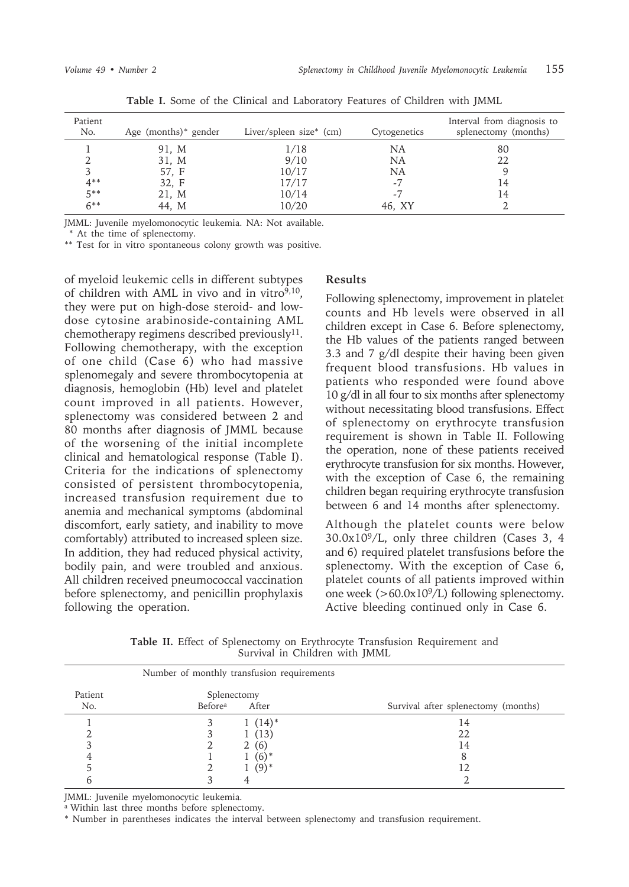| Patient<br>No. | Age (months) <sup>*</sup> gender | Liver/spleen size $*$ (cm) | Cytogenetics | Interval from diagnosis to<br>splenectomy (months) |
|----------------|----------------------------------|----------------------------|--------------|----------------------------------------------------|
|                | 91, M                            | 1/18                       | NA           | 80                                                 |
|                | 31, M                            | 9/10                       | NA           | 22                                                 |
|                | 57. F                            | 10/17                      | NA           |                                                    |
| $4***$         | 32, F                            | 17/17                      | $-7$         | 14                                                 |
| $5***$         | 21, M                            | 10/14                      | -7           | 14                                                 |
| $6***$         | 44, M                            | 10/20                      | 46. XY       |                                                    |

**Table I.** Some of the Clinical and Laboratory Features of Children with JMML

JMML: Juvenile myelomonocytic leukemia. NA: Not available.

\* At the time of splenectomy.

\*\* Test for in vitro spontaneous colony growth was positive.

of myeloid leukemic cells in different subtypes of children with AML in vivo and in vitro $9,10$ , they were put on high-dose steroid- and lowdose cytosine arabinoside-containing AML chemotherapy regimens described previously<sup>11</sup>. Following chemotherapy, with the exception of one child (Case 6) who had massive splenomegaly and severe thrombocytopenia at diagnosis, hemoglobin (Hb) level and platelet count improved in all patients. However, splenectomy was considered between 2 and 80 months after diagnosis of JMML because of the worsening of the initial incomplete clinical and hematological response (Table I). Criteria for the indications of splenectomy consisted of persistent thrombocytopenia, increased transfusion requirement due to anemia and mechanical symptoms (abdominal discomfort, early satiety, and inability to move comfortably) attributed to increased spleen size. In addition, they had reduced physical activity, bodily pain, and were troubled and anxious. All children received pneumococcal vaccination before splenectomy, and penicillin prophylaxis following the operation.

### **Results**

Following splenectomy, improvement in platelet counts and Hb levels were observed in all children except in Case 6. Before splenectomy, the Hb values of the patients ranged between 3.3 and 7 g/dl despite their having been given frequent blood transfusions. Hb values in patients who responded were found above 10 g/dl in all four to six months after splenectomy without necessitating blood transfusions. Effect of splenectomy on erythrocyte transfusion requirement is shown in Table II. Following the operation, none of these patients received erythrocyte transfusion for six months. However, with the exception of Case 6, the remaining children began requiring erythrocyte transfusion between 6 and 14 months after splenectomy.

Although the platelet counts were below  $30.0x10<sup>9</sup>/L$ , only three children (Cases 3, 4) and 6) required platelet transfusions before the splenectomy. With the exception of Case 6, platelet counts of all patients improved within one week  $(>60.0x10<sup>9</sup>/L)$  following splenectomy. Active bleeding continued only in Case 6.

**Table II.** Effect of Splenectomy on Erythrocyte Transfusion Requirement and Survival in Children with JMML

|                | Number of monthly transfusion requirements |           |                                     |
|----------------|--------------------------------------------|-----------|-------------------------------------|
| Patient<br>No. | Splenectomy<br>Before <sup>a</sup>         | After     | Survival after splenectomy (months) |
|                |                                            | $1(14)^*$ | 14                                  |
|                |                                            | 1(13)     | 22                                  |
|                |                                            | 2(6)      |                                     |
|                |                                            | $(6)^*$   |                                     |
|                |                                            | $(9)^*$   |                                     |
|                |                                            |           |                                     |

JMML: Juvenile myelomonocytic leukemia.

<sup>a</sup> Within last three months before splenectomy.

\* Number in parentheses indicates the interval between splenectomy and transfusion requirement.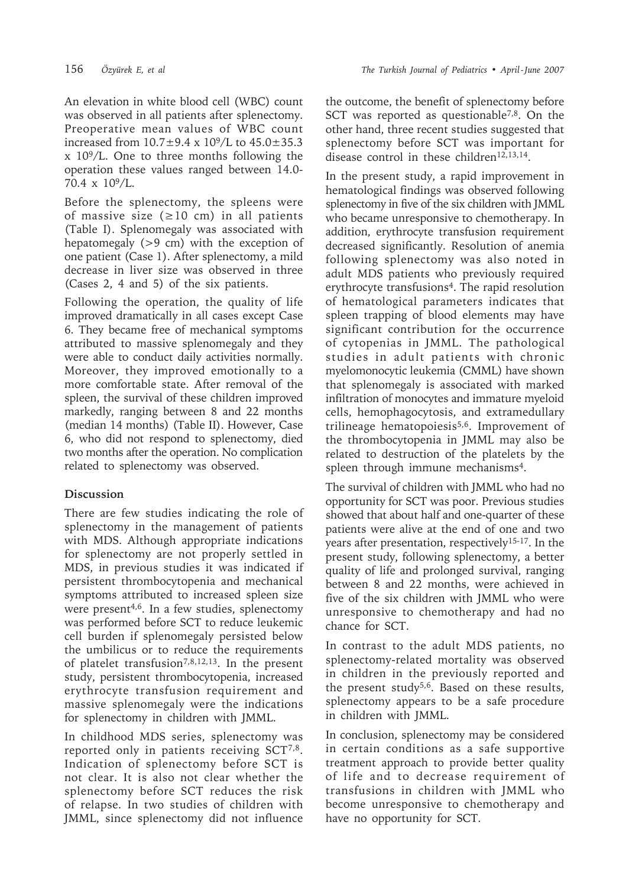An elevation in white blood cell (WBC) count was observed in all patients after splenectomy. Preoperative mean values of WBC count increased from  $10.7 \pm 9.4 \times 10^9 / L$  to  $45.0 \pm 35.3$ x 109/L. One to three months following the operation these values ranged between 14.0- 70.4 x 109/L.

Before the splenectomy, the spleens were of massive size  $(\geq 10 \text{ cm})$  in all patients (Table I). Splenomegaly was associated with hepatomegaly (>9 cm) with the exception of one patient (Case 1). After splenectomy, a mild decrease in liver size was observed in three (Cases 2, 4 and 5) of the six patients.

Following the operation, the quality of life improved dramatically in all cases except Case 6. They became free of mechanical symptoms attributed to massive splenomegaly and they were able to conduct daily activities normally. Moreover, they improved emotionally to a more comfortable state. After removal of the spleen, the survival of these children improved markedly, ranging between 8 and 22 months (median 14 months) (Table II). However, Case 6, who did not respond to splenectomy, died two months after the operation. No complication related to splenectomy was observed.

## **Discussion**

There are few studies indicating the role of splenectomy in the management of patients with MDS. Although appropriate indications for splenectomy are not properly settled in MDS, in previous studies it was indicated if persistent thrombocytopenia and mechanical symptoms attributed to increased spleen size were present<sup>4,6</sup>. In a few studies, splenectomy was performed before SCT to reduce leukemic cell burden if splenomegaly persisted below the umbilicus or to reduce the requirements of platelet transfusion7,8,12,13. In the present study, persistent thrombocytopenia, increased erythrocyte transfusion requirement and massive splenomegaly were the indications for splenectomy in children with JMML.

In childhood MDS series, splenectomy was reported only in patients receiving SCT7,8. Indication of splenectomy before SCT is not clear. It is also not clear whether the splenectomy before SCT reduces the risk of relapse. In two studies of children with JMML, since splenectomy did not influence

the outcome, the benefit of splenectomy before SCT was reported as questionable<sup>7,8</sup>. On the other hand, three recent studies suggested that splenectomy before SCT was important for disease control in these children<sup>12,13,14</sup>.

In the present study, a rapid improvement in hematological findings was observed following splenectomy in five of the six children with JMML who became unresponsive to chemotherapy. In addition, erythrocyte transfusion requirement decreased significantly. Resolution of anemia following splenectomy was also noted in adult MDS patients who previously required erythrocyte transfusions<sup>4</sup>. The rapid resolution of hematological parameters indicates that spleen trapping of blood elements may have significant contribution for the occurrence of cytopenias in JMML. The pathological studies in adult patients with chronic myelomonocytic leukemia (CMML) have shown that splenomegaly is associated with marked infiltration of monocytes and immature myeloid cells, hemophagocytosis, and extramedullary trilineage hematopoiesis<sup>5,6</sup>. Improvement of the thrombocytopenia in JMML may also be related to destruction of the platelets by the spleen through immune mechanisms<sup>4</sup>.

The survival of children with JMML who had no opportunity for SCT was poor. Previous studies showed that about half and one-quarter of these patients were alive at the end of one and two years after presentation, respectively15-17. In the present study, following splenectomy, a better quality of life and prolonged survival, ranging between 8 and 22 months, were achieved in five of the six children with JMML who were unresponsive to chemotherapy and had no chance for SCT.

In contrast to the adult MDS patients, no splenectomy-related mortality was observed in children in the previously reported and the present study<sup>5,6</sup>. Based on these results, splenectomy appears to be a safe procedure in children with JMML.

In conclusion, splenectomy may be considered in certain conditions as a safe supportive treatment approach to provide better quality of life and to decrease requirement of transfusions in children with JMML who become unresponsive to chemotherapy and have no opportunity for SCT.